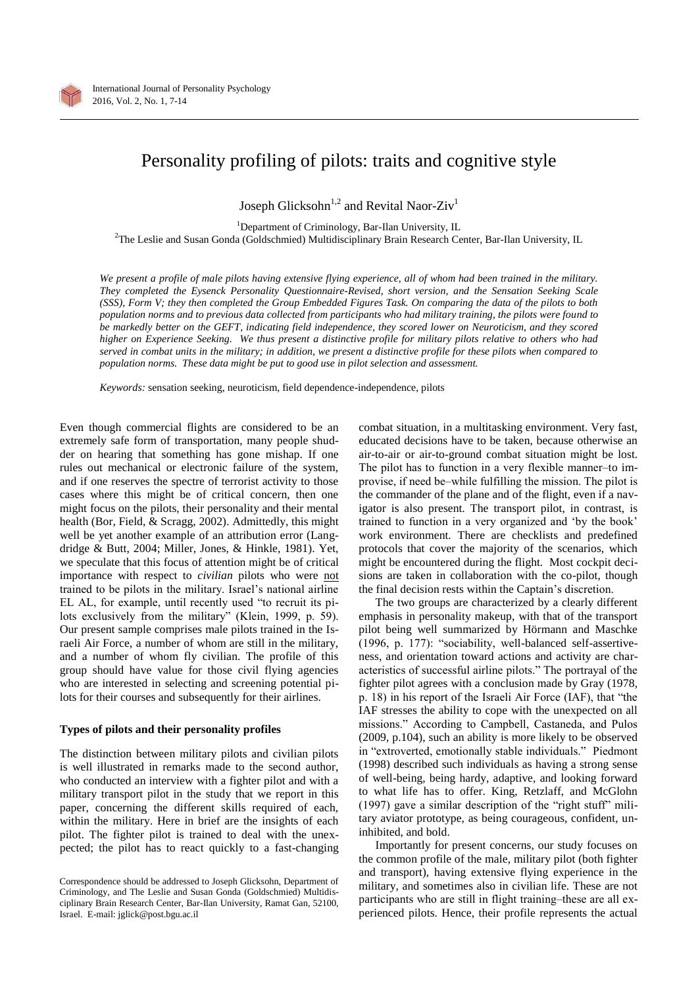

# Personality profiling of pilots: traits and cognitive style

Joseph Glicksohn<sup>1,2</sup> and Revital Naor-Ziv<sup>1</sup>

<sup>1</sup>Department of Criminology, Bar-Ilan University, IL <sup>2</sup>The Leslie and Susan Gonda (Goldschmied) Multidisciplinary Brain Research Center, Bar-Ilan University, IL

*We present a profile of male pilots having extensive flying experience, all of whom had been trained in the military. They completed the Eysenck Personality Questionnaire-Revised, short version, and the Sensation Seeking Scale (SSS), Form V; they then completed the Group Embedded Figures Task. On comparing the data of the pilots to both population norms and to previous data collected from participants who had military training, the pilots were found to be markedly better on the GEFT, indicating field independence, they scored lower on Neuroticism, and they scored higher on Experience Seeking. We thus present a distinctive profile for military pilots relative to others who had served in combat units in the military; in addition, we present a distinctive profile for these pilots when compared to population norms. These data might be put to good use in pilot selection and assessment.*

*Keywords:* sensation seeking, neuroticism, field dependence-independence, pilots

Even though commercial flights are considered to be an extremely safe form of transportation, many people shudder on hearing that something has gone mishap. If one rules out mechanical or electronic failure of the system, and if one reserves the spectre of terrorist activity to those cases where this might be of critical concern, then one might focus on the pilots, their personality and their mental health (Bor, Field, & Scragg, 2002). Admittedly, this might well be yet another example of an attribution error (Langdridge & Butt, 2004; Miller, Jones, & Hinkle, 1981). Yet, we speculate that this focus of attention might be of critical importance with respect to *civilian* pilots who were not trained to be pilots in the military. Israel's national airline EL AL, for example, until recently used "to recruit its pilots exclusively from the military" (Klein, 1999, p. 59). Our present sample comprises male pilots trained in the Israeli Air Force, a number of whom are still in the military, and a number of whom fly civilian. The profile of this group should have value for those civil flying agencies who are interested in selecting and screening potential pilots for their courses and subsequently for their airlines.

# **Types of pilots and their personality profiles**

The distinction between military pilots and civilian pilots is well illustrated in remarks made to the second author, who conducted an interview with a fighter pilot and with a military transport pilot in the study that we report in this paper, concerning the different skills required of each, within the military. Here in brief are the insights of each pilot. The fighter pilot is trained to deal with the unexpected; the pilot has to react quickly to a fast-changing combat situation, in a multitasking environment. Very fast, educated decisions have to be taken, because otherwise an air-to-air or air-to-ground combat situation might be lost. The pilot has to function in a very flexible manner-to improvise, if need be–while fulfilling the mission. The pilot is the commander of the plane and of the flight, even if a navigator is also present. The transport pilot, in contrast, is trained to function in a very organized and 'by the book' work environment. There are checklists and predefined protocols that cover the majority of the scenarios, which might be encountered during the flight. Most cockpit decisions are taken in collaboration with the co-pilot, though the final decision rests within the Captain's discretion.

The two groups are characterized by a clearly different emphasis in personality makeup, with that of the transport pilot being well summarized by Hörmann and Maschke (1996, p. 177): "sociability, well-balanced self-assertiveness, and orientation toward actions and activity are characteristics of successful airline pilots." The portrayal of the fighter pilot agrees with a conclusion made by Gray (1978, p. 18) in his report of the Israeli Air Force (IAF), that "the IAF stresses the ability to cope with the unexpected on all missions." According to Campbell, Castaneda, and Pulos (2009, p.104), such an ability is more likely to be observed in "extroverted, emotionally stable individuals." Piedmont (1998) described such individuals as having a strong sense of well-being, being hardy, adaptive, and looking forward to what life has to offer. King, Retzlaff, and McGlohn (1997) gave a similar description of the "right stuff" military aviator prototype, as being courageous, confident, uninhibited, and bold.

Importantly for present concerns, our study focuses on the common profile of the male, military pilot (both fighter and transport), having extensive flying experience in the military, and sometimes also in civilian life. These are not participants who are still in flight training–these are all experienced pilots. Hence, their profile represents the actual

Correspondence should be addressed to Joseph Glicksohn, Department of Criminology, and The Leslie and Susan Gonda (Goldschmied) Multidisciplinary Brain Research Center, Bar-Ilan University, Ramat Gan, 52100, Israel. E-mail: jglick@post.bgu.ac.il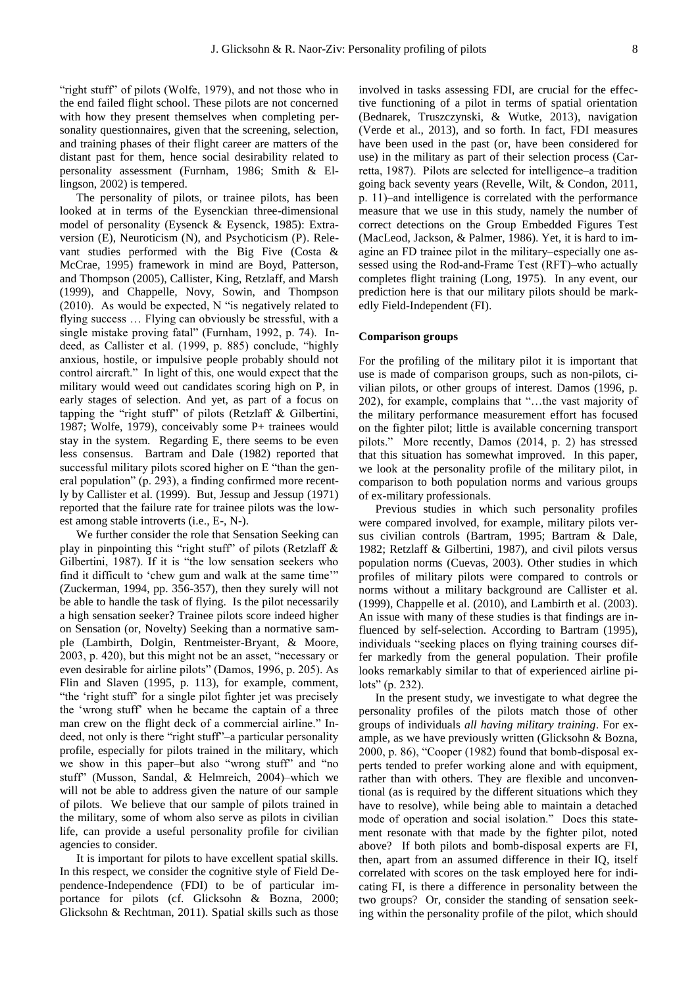"right stuff" of pilots (Wolfe, 1979), and not those who in the end failed flight school. These pilots are not concerned with how they present themselves when completing personality questionnaires, given that the screening, selection, and training phases of their flight career are matters of the distant past for them, hence social desirability related to personality assessment (Furnham, 1986; Smith & Ellingson, 2002) is tempered.

The personality of pilots, or trainee pilots, has been looked at in terms of the Eysenckian three-dimensional model of personality (Eysenck & Eysenck, 1985): Extraversion (E), Neuroticism (N), and Psychoticism (P). Relevant studies performed with the Big Five (Costa & McCrae, 1995) framework in mind are Boyd, Patterson, and Thompson (2005), Callister, King, Retzlaff, and Marsh (1999), and Chappelle, Novy, Sowin, and Thompson (2010). As would be expected, N "is negatively related to flying success … Flying can obviously be stressful, with a single mistake proving fatal" (Furnham, 1992, p. 74). Indeed, as Callister et al. (1999, p. 885) conclude, "highly anxious, hostile, or impulsive people probably should not control aircraft." In light of this, one would expect that the military would weed out candidates scoring high on P, in early stages of selection. And yet, as part of a focus on tapping the "right stuff" of pilots (Retzlaff & Gilbertini, 1987; Wolfe, 1979), conceivably some P+ trainees would stay in the system. Regarding E, there seems to be even less consensus. Bartram and Dale (1982) reported that successful military pilots scored higher on E "than the general population" (p. 293), a finding confirmed more recently by Callister et al. (1999). But, Jessup and Jessup (1971) reported that the failure rate for trainee pilots was the lowest among stable introverts (i.e., E-, N-).

We further consider the role that Sensation Seeking can play in pinpointing this "right stuff" of pilots (Retzlaff & Gilbertini, 1987). If it is "the low sensation seekers who find it difficult to 'chew gum and walk at the same time'" (Zuckerman, 1994, pp. 356-357), then they surely will not be able to handle the task of flying. Is the pilot necessarily a high sensation seeker? Trainee pilots score indeed higher on Sensation (or, Novelty) Seeking than a normative sample (Lambirth, Dolgin, Rentmeister-Bryant, & Moore, 2003, p. 420), but this might not be an asset, "necessary or even desirable for airline pilots" (Damos, 1996, p. 205). As Flin and Slaven (1995, p. 113), for example, comment, "the 'right stuff' for a single pilot fighter jet was precisely the 'wrong stuff' when he became the captain of a three man crew on the flight deck of a commercial airline." Indeed, not only is there "right stuff"-a particular personality profile, especially for pilots trained in the military, which we show in this paper-but also "wrong stuff" and "no stuff" (Musson, Sandal, & Helmreich, 2004)-which we will not be able to address given the nature of our sample of pilots. We believe that our sample of pilots trained in the military, some of whom also serve as pilots in civilian life, can provide a useful personality profile for civilian agencies to consider.

It is important for pilots to have excellent spatial skills. In this respect, we consider the cognitive style of Field Dependence-Independence (FDI) to be of particular importance for pilots (cf. Glicksohn & Bozna, 2000; Glicksohn & Rechtman, 2011). Spatial skills such as those involved in tasks assessing FDI, are crucial for the effective functioning of a pilot in terms of spatial orientation (Bednarek, Truszczynski, & Wutke, 2013), navigation (Verde et al., 2013), and so forth. In fact, FDI measures have been used in the past (or, have been considered for use) in the military as part of their selection process (Carretta, 1987). Pilots are selected for intelligence—a tradition going back seventy years (Revelle, Wilt, & Condon, 2011, p. 11)—and intelligence is correlated with the performance measure that we use in this study, namely the number of correct detections on the Group Embedded Figures Test (MacLeod, Jackson, & Palmer, 1986). Yet, it is hard to imagine an FD trainee pilot in the military–especially one assessed using the Rod-and-Frame Test (RFT)-who actually completes flight training (Long, 1975). In any event, our prediction here is that our military pilots should be markedly Field-Independent (FI).

#### **Comparison groups**

For the profiling of the military pilot it is important that use is made of comparison groups, such as non-pilots, civilian pilots, or other groups of interest. Damos (1996, p. 202), for example, complains that "…the vast majority of the military performance measurement effort has focused on the fighter pilot; little is available concerning transport pilots." More recently, Damos (2014, p. 2) has stressed that this situation has somewhat improved. In this paper, we look at the personality profile of the military pilot, in comparison to both population norms and various groups of ex-military professionals.

Previous studies in which such personality profiles were compared involved, for example, military pilots versus civilian controls (Bartram, 1995; Bartram & Dale, 1982; Retzlaff & Gilbertini, 1987), and civil pilots versus population norms (Cuevas, 2003). Other studies in which profiles of military pilots were compared to controls or norms without a military background are Callister et al. (1999), Chappelle et al. (2010), and Lambirth et al. (2003). An issue with many of these studies is that findings are influenced by self-selection. According to Bartram (1995), individuals "seeking places on flying training courses differ markedly from the general population. Their profile looks remarkably similar to that of experienced airline pilots" (p. 232).

In the present study, we investigate to what degree the personality profiles of the pilots match those of other groups of individuals *all having military training*. For example, as we have previously written (Glicksohn & Bozna, 2000, p. 86), "Cooper (1982) found that bomb-disposal experts tended to prefer working alone and with equipment, rather than with others. They are flexible and unconventional (as is required by the different situations which they have to resolve), while being able to maintain a detached mode of operation and social isolation." Does this statement resonate with that made by the fighter pilot, noted above? If both pilots and bomb-disposal experts are FI, then, apart from an assumed difference in their IQ, itself correlated with scores on the task employed here for indicating FI, is there a difference in personality between the two groups? Or, consider the standing of sensation seeking within the personality profile of the pilot, which should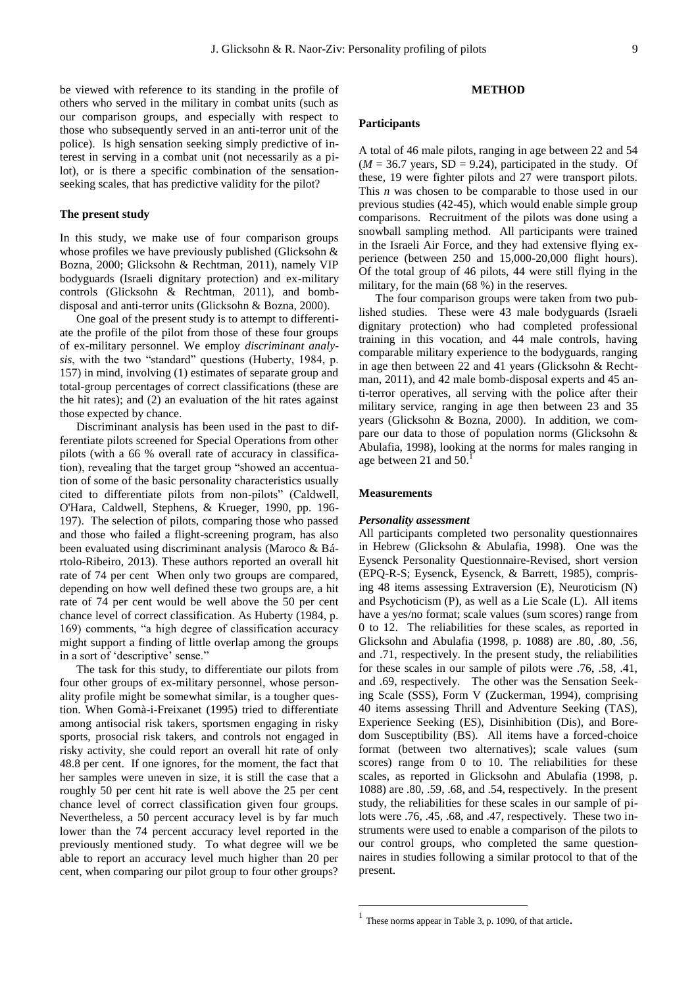be viewed with reference to its standing in the profile of others who served in the military in combat units (such as our comparison groups, and especially with respect to those who subsequently served in an anti-terror unit of the police). Is high sensation seeking simply predictive of interest in serving in a combat unit (not necessarily as a pi-

lot), or is there a specific combination of the sensationseeking scales, that has predictive validity for the pilot?

#### **The present study**

In this study, we make use of four comparison groups whose profiles we have previously published (Glicksohn & Bozna, 2000; Glicksohn & Rechtman, 2011), namely VIP bodyguards (Israeli dignitary protection) and ex-military controls (Glicksohn & Rechtman, 2011), and bombdisposal and anti-terror units (Glicksohn & Bozna, 2000).

One goal of the present study is to attempt to differentiate the profile of the pilot from those of these four groups of ex-military personnel. We employ *discriminant analysis*, with the two "standard" questions (Huberty, 1984, p. 157) in mind, involving (1) estimates of separate group and total-group percentages of correct classifications (these are the hit rates); and (2) an evaluation of the hit rates against those expected by chance.

Discriminant analysis has been used in the past to differentiate pilots screened for Special Operations from other pilots (with a 66 % overall rate of accuracy in classification), revealing that the target group "showed an accentuation of some of the basic personality characteristics usually cited to differentiate pilots from non-pilots" (Caldwell, O'Hara, Caldwell, Stephens, & Krueger, 1990, pp. 196- 197). The selection of pilots, comparing those who passed and those who failed a flight-screening program, has also been evaluated using discriminant analysis (Maroco & Bártolo-Ribeiro, 2013). These authors reported an overall hit rate of 74 per cent When only two groups are compared, depending on how well defined these two groups are, a hit rate of 74 per cent would be well above the 50 per cent chance level of correct classification. As Huberty (1984, p. 169) comments, "a high degree of classification accuracy might support a finding of little overlap among the groups in a sort of 'descriptive' sense."

The task for this study, to differentiate our pilots from four other groups of ex-military personnel, whose personality profile might be somewhat similar, is a tougher question. When Gomà-i-Freixanet (1995) tried to differentiate among antisocial risk takers, sportsmen engaging in risky sports, prosocial risk takers, and controls not engaged in risky activity, she could report an overall hit rate of only 48.8 per cent. If one ignores, for the moment, the fact that her samples were uneven in size, it is still the case that a roughly 50 per cent hit rate is well above the 25 per cent chance level of correct classification given four groups. Nevertheless, a 50 percent accuracy level is by far much lower than the 74 percent accuracy level reported in the previously mentioned study. To what degree will we be able to report an accuracy level much higher than 20 per cent, when comparing our pilot group to four other groups?

## **METHOD**

## **Participants**

A total of 46 male pilots, ranging in age between 22 and 54  $(M = 36.7$  years, SD = 9.24), participated in the study. Of these, 19 were fighter pilots and 27 were transport pilots. This *n* was chosen to be comparable to those used in our previous studies (42-45), which would enable simple group comparisons. Recruitment of the pilots was done using a snowball sampling method. All participants were trained in the Israeli Air Force, and they had extensive flying experience (between 250 and 15,000-20,000 flight hours). Of the total group of 46 pilots, 44 were still flying in the military, for the main (68 %) in the reserves.

The four comparison groups were taken from two published studies. These were 43 male bodyguards (Israeli dignitary protection) who had completed professional training in this vocation, and 44 male controls, having comparable military experience to the bodyguards, ranging in age then between 22 and 41 years (Glicksohn & Rechtman, 2011), and 42 male bomb-disposal experts and 45 anti-terror operatives, all serving with the police after their military service, ranging in age then between 23 and 35 years (Glicksohn & Bozna, 2000). In addition, we compare our data to those of population norms (Glicksohn & Abulafia, 1998), looking at the norms for males ranging in age between 21 and 50.

## **Measurements**

# *Personality assessment*

All participants completed two personality questionnaires in Hebrew (Glicksohn & Abulafia, 1998). One was the Eysenck Personality Questionnaire-Revised, short version (EPQ-R-S; Eysenck, Eysenck, & Barrett, 1985), comprising 48 items assessing Extraversion (E), Neuroticism (N) and Psychoticism (P), as well as a Lie Scale (L). All items have a yes/no format; scale values (sum scores) range from 0 to 12. The reliabilities for these scales, as reported in Glicksohn and Abulafia (1998, p. 1088) are .80, .80, .56, and .71, respectively. In the present study, the reliabilities for these scales in our sample of pilots were .76, .58, .41, and .69, respectively. The other was the Sensation Seeking Scale (SSS), Form V (Zuckerman, 1994), comprising 40 items assessing Thrill and Adventure Seeking (TAS), Experience Seeking (ES), Disinhibition (Dis), and Boredom Susceptibility (BS). All items have a forced-choice format (between two alternatives); scale values (sum scores) range from 0 to 10. The reliabilities for these scales, as reported in Glicksohn and Abulafia (1998, p. 1088) are .80, .59, .68, and .54, respectively. In the present study, the reliabilities for these scales in our sample of pilots were .76, .45, .68, and .47, respectively. These two instruments were used to enable a comparison of the pilots to our control groups, who completed the same questionnaires in studies following a similar protocol to that of the present.

 $\overline{a}$ 

<sup>1</sup> These norms appear in Table 3, p. 1090, of that article.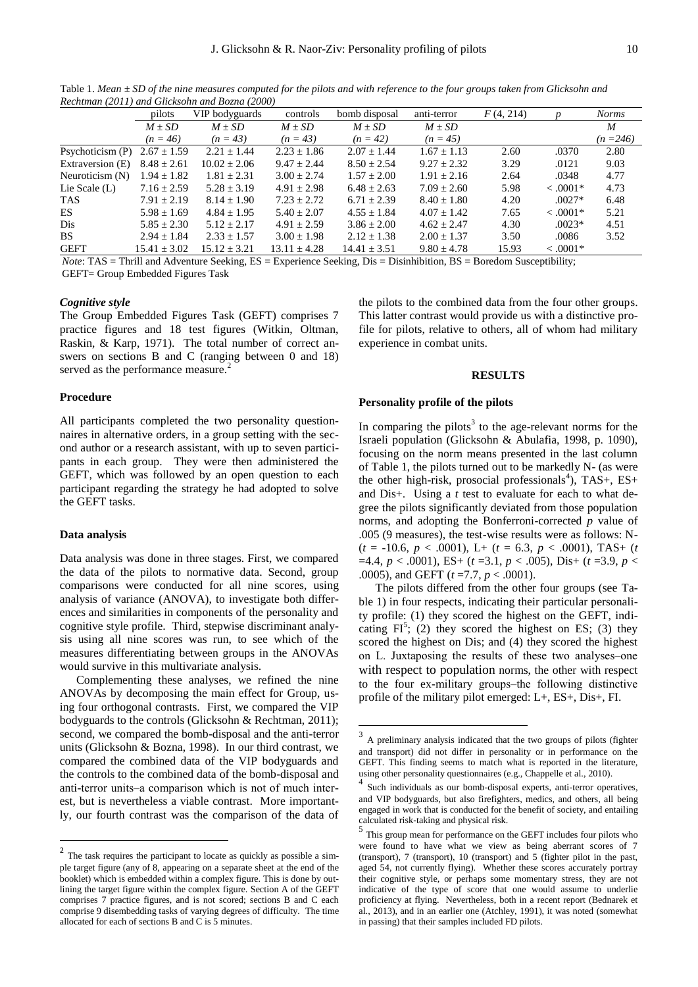|                  | pilots           | VIP bodyguards   | controls         | bomb disposal    | anti-terror     | F(4, 214) | n           | <b>Norms</b> |
|------------------|------------------|------------------|------------------|------------------|-----------------|-----------|-------------|--------------|
|                  | $M \pm SD$       | $M \pm SD$       | $M \pm SD$       | $M \pm SD$       | $M \pm SD$      |           |             | M            |
|                  | $(n = 46)$       | $(n = 43)$       | $(n = 43)$       | $(n = 42)$       | $(n = 45)$      |           |             | $(n=246)$    |
| Psychoticism (P) | $2.67 \pm 1.59$  | $2.21 \pm 1.44$  | $2.23 \pm 1.86$  | $2.07 + 1.44$    | $1.67 + 1.13$   | 2.60      | .0370       | 2.80         |
| Extraversion (E) | $8.48 \pm 2.61$  | $10.02 + 2.06$   | $9.47 + 2.44$    | $8.50 + 2.54$    | $9.27 + 2.32$   | 3.29      | .0121       | 9.03         |
| Neuroticism (N)  | $1.94 \pm 1.82$  | $1.81 \pm 2.31$  | $3.00 \pm 2.74$  | $1.57 \pm 2.00$  | $1.91 + 2.16$   | 2.64      | .0348       | 4.77         |
| Lie Scale $(L)$  | $7.16 \pm 2.59$  | $5.28 \pm 3.19$  | $4.91 + 2.98$    | $6.48 + 2.63$    | $7.09 + 2.60$   | 5.98      | $< .0001*$  | 4.73         |
| TAS              | $7.91 + 2.19$    | $8.14 + 1.90$    | $7.23 + 2.72$    | $6.71 + 2.39$    | $8.40 + 1.80$   | 4.20      | $.0027*$    | 6.48         |
| ES               | $5.98 \pm 1.69$  | $4.84 \pm 1.95$  | $5.40 \pm 2.07$  | $4.55 \pm 1.84$  | $4.07 \pm 1.42$ | 7.65      | $< 0.0001*$ | 5.21         |
| Dis              | $5.85 \pm 2.30$  | $5.12 + 2.17$    | $4.91 + 2.59$    | $3.86 + 2.00$    | $4.62 + 2.47$   | 4.30      | $.0023*$    | 4.51         |
| BS               | $2.94 \pm 1.84$  | $2.33 \pm 1.57$  | $3.00 \pm 1.98$  | $2.12 \pm 1.38$  | $2.00 \pm 1.37$ | 3.50      | .0086       | 3.52         |
| <b>GEFT</b>      | $15.41 \pm 3.02$ | $15.12 \pm 3.21$ | $13.11 \pm 4.28$ | $14.41 \pm 3.51$ | $9.80 \pm 4.78$ | 15.93     | $< 0.0001*$ |              |
|                  |                  |                  |                  |                  |                 |           |             |              |

1

Table 1. *Mean ± SD of the nine measures computed for the pilots and with reference to the four groups taken from Glicksohn and Rechtman (2011) and Glicksohn and Bozna (2000)*

*Note*: TAS = Thrill and Adventure Seeking, ES = Experience Seeking, Dis = Disinhibition, BS = Boredom Susceptibility; GEFT= Group Embedded Figures Task

# *Cognitive style*

The Group Embedded Figures Task (GEFT) comprises 7 practice figures and 18 test figures (Witkin, Oltman, Raskin, & Karp, 1971). The total number of correct answers on sections B and C (ranging between 0 and 18) served as the performance measure.<sup>2</sup>

# **Procedure**

All participants completed the two personality questionnaires in alternative orders, in a group setting with the second author or a research assistant, with up to seven participants in each group. They were then administered the GEFT, which was followed by an open question to each participant regarding the strategy he had adopted to solve the GEFT tasks.

# **Data analysis**

1

Data analysis was done in three stages. First, we compared the data of the pilots to normative data. Second, group comparisons were conducted for all nine scores, using analysis of variance (ANOVA), to investigate both differences and similarities in components of the personality and cognitive style profile. Third, stepwise discriminant analysis using all nine scores was run, to see which of the measures differentiating between groups in the ANOVAs would survive in this multivariate analysis.

Complementing these analyses, we refined the nine ANOVAs by decomposing the main effect for Group, using four orthogonal contrasts. First, we compared the VIP bodyguards to the controls (Glicksohn & Rechtman, 2011); second, we compared the bomb-disposal and the anti-terror units (Glicksohn & Bozna, 1998). In our third contrast, we compared the combined data of the VIP bodyguards and the controls to the combined data of the bomb-disposal and anti-terror units-a comparison which is not of much interest, but is nevertheless a viable contrast. More importantly, our fourth contrast was the comparison of the data of the pilots to the combined data from the four other groups. This latter contrast would provide us with a distinctive profile for pilots, relative to others, all of whom had military experience in combat units.

## **RESULTS**

# **Personality profile of the pilots**

In comparing the pilots<sup>3</sup> to the age-relevant norms for the Israeli population (Glicksohn & Abulafia, 1998, p. 1090), focusing on the norm means presented in the last column of Table 1, the pilots turned out to be markedly N- (as were the other high-risk, prosocial professionals<sup>4</sup>), TAS+, ES+ and Dis+. Using a *t* test to evaluate for each to what degree the pilots significantly deviated from those population norms, and adopting the Bonferroni-corrected *p* value of .005 (9 measures), the test-wise results were as follows: N-  $(t = -10.6, p < .0001)$ , L+  $(t = 6.3, p < .0001)$ , TAS+  $(t$  $=4.4, p < .0001$ , ES+ (*t* = 3.1, *p* < .005), Dis+ (*t* = 3.9, *p* < .0005), and GEFT (*t* =7.7, *p* < .0001).

The pilots differed from the other four groups (see Table 1) in four respects, indicating their particular personality profile: (1) they scored the highest on the GEFT, indicating  $FI^5$ ; (2) they scored the highest on ES; (3) they scored the highest on Dis; and (4) they scored the highest on L. Juxtaposing the results of these two analyses-one with respect to population norms, the other with respect to the four ex-military groups-the following distinctive profile of the military pilot emerged: L+, ES+, Dis+, FI.

<sup>&</sup>lt;sup>2</sup> The task requires the participant to locate as quickly as possible a simple target figure (any of 8, appearing on a separate sheet at the end of the booklet) which is embedded within a complex figure. This is done by outlining the target figure within the complex figure. Section A of the GEFT comprises 7 practice figures, and is not scored; sections B and C each comprise 9 disembedding tasks of varying degrees of difficulty. The time allocated for each of sections B and C is 5 minutes.

<sup>3</sup> A preliminary analysis indicated that the two groups of pilots (fighter and transport) did not differ in personality or in performance on the GEFT. This finding seems to match what is reported in the literature, using other personality questionnaires (e.g., Chappelle et al., 2010).

Such individuals as our bomb-disposal experts, anti-terror operatives, and VIP bodyguards, but also firefighters, medics, and others, all being engaged in work that is conducted for the benefit of society, and entailing calculated risk-taking and physical risk.

<sup>5</sup> This group mean for performance on the GEFT includes four pilots who were found to have what we view as being aberrant scores of 7 (transport), 7 (transport), 10 (transport) and 5 (fighter pilot in the past, aged 54, not currently flying). Whether these scores accurately portray their cognitive style, or perhaps some momentary stress, they are not indicative of the type of score that one would assume to underlie proficiency at flying. Nevertheless, both in a recent report (Bednarek et al., 2013), and in an earlier one (Atchley, 1991), it was noted (somewhat in passing) that their samples included FD pilots.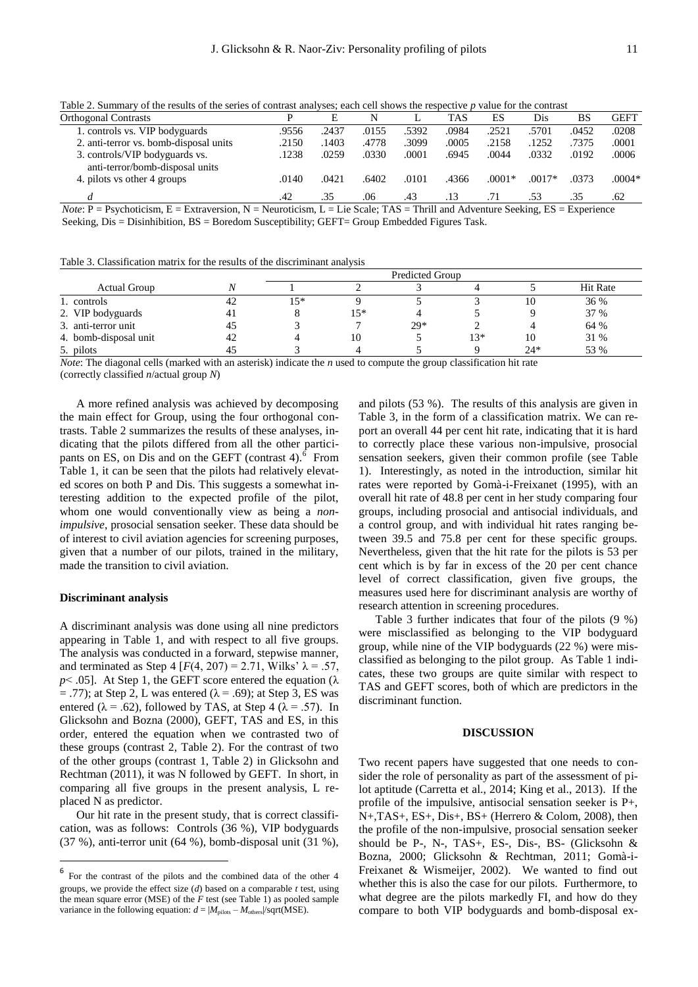Table 2. Summary of the results of the series of contrast analyses; each cell shows the respective *p* value for the contrast

| <b>Orthogonal Contrasts</b>                                              |       | E     | N                  |       | <b>TAS</b> | ES            | Dis      | BS    | <b>GEFT</b> |
|--------------------------------------------------------------------------|-------|-------|--------------------|-------|------------|---------------|----------|-------|-------------|
| 1. controls vs. VIP bodyguards                                           | .9556 | .2437 | .0155              | .5392 | .0984      | .2521         | .5701    | .0452 | .0208       |
| 2. anti-terror vs. bomb-disposal units                                   | .2150 | 1403  | .4778              | 3099  | .0005      | .2158         | .1252    | .7375 | .0001       |
| 3. controls/VIP bodyguards vs.<br>anti-terror/bomb-disposal units        | .1238 | .0259 | .0330              | .0001 | .6945      | .0044         | .0332    | .0192 | .0006       |
| 4. pilots vs other 4 groups                                              | .0140 | .0421 | .6402              | .0101 | .4366      | $.0001*$      | $.0017*$ | .0373 | $.0004*$    |
|                                                                          | .42   | .35   | .06                | .43   | .13        | .71           | .53      | .35   | .62         |
| $\sim$<br>$\cdots$<br>$\mathbf{v}$<br>$\overline{\phantom{0}}$<br>$\sim$ | .     |       | .<br>$\sim$ $\sim$ | ----  |            | $\sim$ $\sim$ | $\sim$   |       |             |

*Note*: P = Psychoticism, E = Extraversion, N = Neuroticism, L = Lie Scale; TAS = Thrill and Adventure Seeking, ES = Experience Seeking, Dis = Disinhibition, BS = Boredom Susceptibility; GEFT= Group Embedded Figures Task.

Table 3. Classification matrix for the results of the discriminant analysis

| <b>Actual Group</b>   |    |     |     |       |       |       | <b>Hit Rate</b> |  |
|-----------------------|----|-----|-----|-------|-------|-------|-----------------|--|
| 1. controls           | 42 | 15* |     |       |       | 10    | 36 %            |  |
| 2. VIP bodyguards     | 41 |     | 15* |       |       |       | 37 %            |  |
| 3. anti-terror unit   | 45 |     |     | $29*$ |       |       | 64 %            |  |
| 4. bomb-disposal unit | 42 |     | 10  |       | $13*$ | 10    | 31 %            |  |
| 5. pilots             |    |     |     |       |       | $24*$ | 53 %            |  |

*Note*: The diagonal cells (marked with an asterisk) indicate the *n* used to compute the group classification hit rate (correctly classified *n*/actual group *N*)

A more refined analysis was achieved by decomposing the main effect for Group, using the four orthogonal contrasts. Table 2 summarizes the results of these analyses, indicating that the pilots differed from all the other participants on ES, on Dis and on the GEFT (contrast 4). $6$  From Table 1, it can be seen that the pilots had relatively elevated scores on both P and Dis. This suggests a somewhat interesting addition to the expected profile of the pilot, whom one would conventionally view as being a *nonimpulsive*, prosocial sensation seeker. These data should be of interest to civil aviation agencies for screening purposes, given that a number of our pilots, trained in the military, made the transition to civil aviation.

# **Discriminant analysis**

**.** 

A discriminant analysis was done using all nine predictors appearing in Table 1, and with respect to all five groups. The analysis was conducted in a forward, stepwise manner, and terminated as Step 4  $[F(4, 207) = 2.71$ , Wilks'  $\lambda = .57$ , *p* $\lt$  .05]. At Step 1, the GEFT score entered the equation ( $\lambda$  $=$  .77); at Step 2, L was entered ( $\lambda$  = .69); at Step 3, ES was entered ( $\lambda = .62$ ), followed by TAS, at Step 4 ( $\lambda = .57$ ). In Glicksohn and Bozna (2000), GEFT, TAS and ES, in this order, entered the equation when we contrasted two of these groups (contrast 2, Table 2). For the contrast of two of the other groups (contrast 1, Table 2) in Glicksohn and Rechtman (2011), it was N followed by GEFT. In short, in comparing all five groups in the present analysis, L replaced N as predictor.

Our hit rate in the present study, that is correct classification, was as follows: Controls (36 %), VIP bodyguards (37 %), anti-terror unit (64 %), bomb-disposal unit (31 %),

and pilots (53 %). The results of this analysis are given in Table 3, in the form of a classification matrix. We can report an overall 44 per cent hit rate, indicating that it is hard to correctly place these various non-impulsive, prosocial sensation seekers, given their common profile (see Table 1). Interestingly, as noted in the introduction, similar hit rates were reported by Gomà-i-Freixanet (1995), with an overall hit rate of 48.8 per cent in her study comparing four groups, including prosocial and antisocial individuals, and a control group, and with individual hit rates ranging between 39.5 and 75.8 per cent for these specific groups. Nevertheless, given that the hit rate for the pilots is 53 per cent which is by far in excess of the 20 per cent chance level of correct classification, given five groups, the measures used here for discriminant analysis are worthy of research attention in screening procedures.

Table 3 further indicates that four of the pilots (9 %) were misclassified as belonging to the VIP bodyguard group, while nine of the VIP bodyguards (22 %) were misclassified as belonging to the pilot group. As Table 1 indicates, these two groups are quite similar with respect to TAS and GEFT scores, both of which are predictors in the discriminant function.

#### **DISCUSSION**

Two recent papers have suggested that one needs to consider the role of personality as part of the assessment of pilot aptitude (Carretta et al., 2014; King et al., 2013). If the profile of the impulsive, antisocial sensation seeker is P+, N+,TAS+, ES+, Dis+, BS+ (Herrero & Colom, 2008), then the profile of the non-impulsive, prosocial sensation seeker should be P-, N-, TAS+, ES-, Dis-, BS- (Glicksohn & Bozna, 2000; Glicksohn & Rechtman, 2011; Gomà-i-Freixanet & Wismeijer, 2002). We wanted to find out whether this is also the case for our pilots. Furthermore, to what degree are the pilots markedly FI, and how do they compare to both VIP bodyguards and bomb-disposal ex-

<sup>6</sup> For the contrast of the pilots and the combined data of the other 4 groups, we provide the effect size (*d*) based on a comparable *t* test, using the mean square error (MSE) of the *F* test (see Table 1) as pooled sample variance in the following equation:  $d = |M_{\text{pilots}} - M_{\text{others}}|/\text{sqrt(MSE)}$ .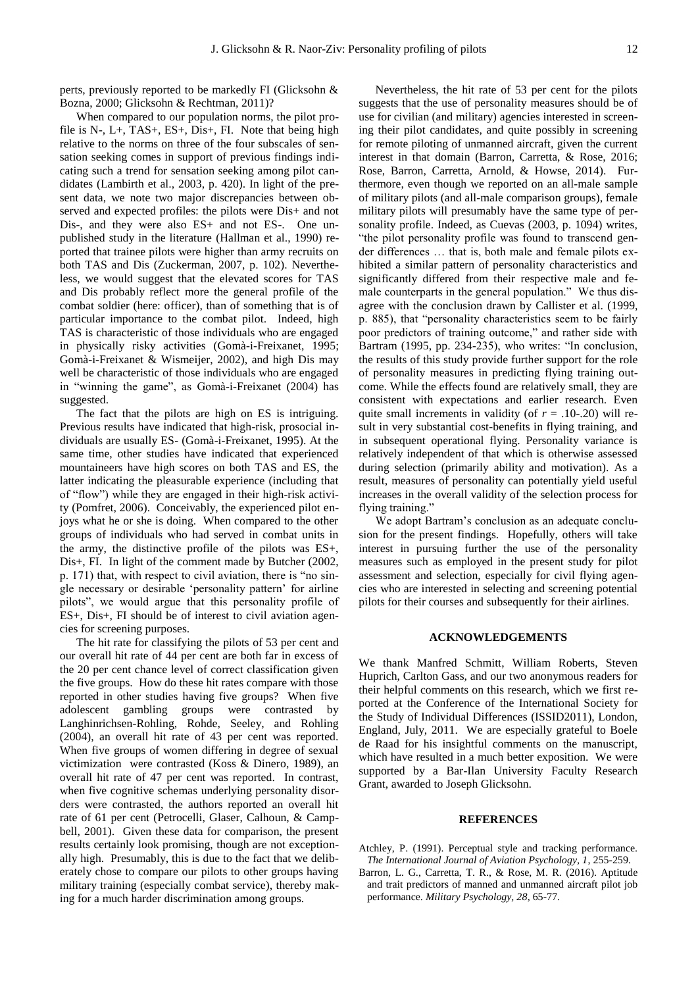perts, previously reported to be markedly FI (Glicksohn & Bozna, 2000; Glicksohn & Rechtman, 2011)?

When compared to our population norms, the pilot profile is N-, L+, TAS+, ES+, Dis+, FI. Note that being high relative to the norms on three of the four subscales of sensation seeking comes in support of previous findings indicating such a trend for sensation seeking among pilot candidates (Lambirth et al., 2003, p. 420). In light of the present data, we note two major discrepancies between observed and expected profiles: the pilots were Dis+ and not Dis-, and they were also ES+ and not ES-. One unpublished study in the literature (Hallman et al., 1990) reported that trainee pilots were higher than army recruits on both TAS and Dis (Zuckerman, 2007, p. 102). Nevertheless, we would suggest that the elevated scores for TAS and Dis probably reflect more the general profile of the combat soldier (here: officer), than of something that is of particular importance to the combat pilot. Indeed, high TAS is characteristic of those individuals who are engaged in physically risky activities (Gomà-i-Freixanet, 1995; Gomà-i-Freixanet & Wismeijer, 2002), and high Dis may well be characteristic of those individuals who are engaged in "winning the game", as Gomà-i-Freixanet (2004) has suggested.

The fact that the pilots are high on ES is intriguing. Previous results have indicated that high-risk, prosocial individuals are usually ES- (Gomà-i-Freixanet, 1995). At the same time, other studies have indicated that experienced mountaineers have high scores on both TAS and ES, the latter indicating the pleasurable experience (including that of "flow") while they are engaged in their high-risk activity (Pomfret, 2006). Conceivably, the experienced pilot enjoys what he or she is doing. When compared to the other groups of individuals who had served in combat units in the army, the distinctive profile of the pilots was ES+, Dis+, FI. In light of the comment made by Butcher (2002, p. 171) that, with respect to civil aviation, there is "no single necessary or desirable 'personality pattern' for airline pilots", we would argue that this personality profile of ES+, Dis+, FI should be of interest to civil aviation agencies for screening purposes.

The hit rate for classifying the pilots of 53 per cent and our overall hit rate of 44 per cent are both far in excess of the 20 per cent chance level of correct classification given the five groups. How do these hit rates compare with those reported in other studies having five groups? When five adolescent gambling groups were contrasted by Langhinrichsen-Rohling, Rohde, Seeley, and Rohling (2004), an overall hit rate of 43 per cent was reported. When five groups of women differing in degree of sexual victimization were contrasted (Koss & Dinero, 1989), an overall hit rate of 47 per cent was reported. In contrast, when five cognitive schemas underlying personality disorders were contrasted, the authors reported an overall hit rate of 61 per cent (Petrocelli, Glaser, Calhoun, & Campbell, 2001). Given these data for comparison, the present results certainly look promising, though are not exceptionally high. Presumably, this is due to the fact that we deliberately chose to compare our pilots to other groups having military training (especially combat service), thereby making for a much harder discrimination among groups.

Nevertheless, the hit rate of 53 per cent for the pilots suggests that the use of personality measures should be of use for civilian (and military) agencies interested in screening their pilot candidates, and quite possibly in screening for remote piloting of unmanned aircraft, given the current interest in that domain (Barron, Carretta, & Rose, 2016; Rose, Barron, Carretta, Arnold, & Howse, 2014). Furthermore, even though we reported on an all-male sample of military pilots (and all-male comparison groups), female military pilots will presumably have the same type of personality profile. Indeed, as Cuevas (2003, p. 1094) writes, "the pilot personality profile was found to transcend gender differences … that is, both male and female pilots exhibited a similar pattern of personality characteristics and significantly differed from their respective male and female counterparts in the general population." We thus disagree with the conclusion drawn by Callister et al. (1999, p. 885), that "personality characteristics seem to be fairly poor predictors of training outcome," and rather side with Bartram (1995, pp. 234-235), who writes: "In conclusion, the results of this study provide further support for the role of personality measures in predicting flying training outcome. While the effects found are relatively small, they are consistent with expectations and earlier research. Even quite small increments in validity (of  $r = .10-.20$ ) will result in very substantial cost-benefits in flying training, and in subsequent operational flying. Personality variance is relatively independent of that which is otherwise assessed during selection (primarily ability and motivation). As a result, measures of personality can potentially yield useful increases in the overall validity of the selection process for flying training."

We adopt Bartram's conclusion as an adequate conclusion for the present findings. Hopefully, others will take interest in pursuing further the use of the personality measures such as employed in the present study for pilot assessment and selection, especially for civil flying agencies who are interested in selecting and screening potential pilots for their courses and subsequently for their airlines.

# **ACKNOWLEDGEMENTS**

We thank Manfred Schmitt, William Roberts, Steven Huprich, Carlton Gass, and our two anonymous readers for their helpful comments on this research, which we first reported at the Conference of the International Society for the Study of Individual Differences (ISSID2011), London, England, July, 2011. We are especially grateful to Boele de Raad for his insightful comments on the manuscript, which have resulted in a much better exposition. We were supported by a Bar-Ilan University Faculty Research Grant, awarded to Joseph Glicksohn.

# **REFERENCES**

- Atchley, P. (1991). Perceptual style and tracking performance. *The International Journal of Aviation Psychology, 1*, 255-259.
- Barron, L. G., Carretta, T. R., & Rose, M. R. (2016). Aptitude and trait predictors of manned and unmanned aircraft pilot job performance. *Military Psychology, 28*, 65-77.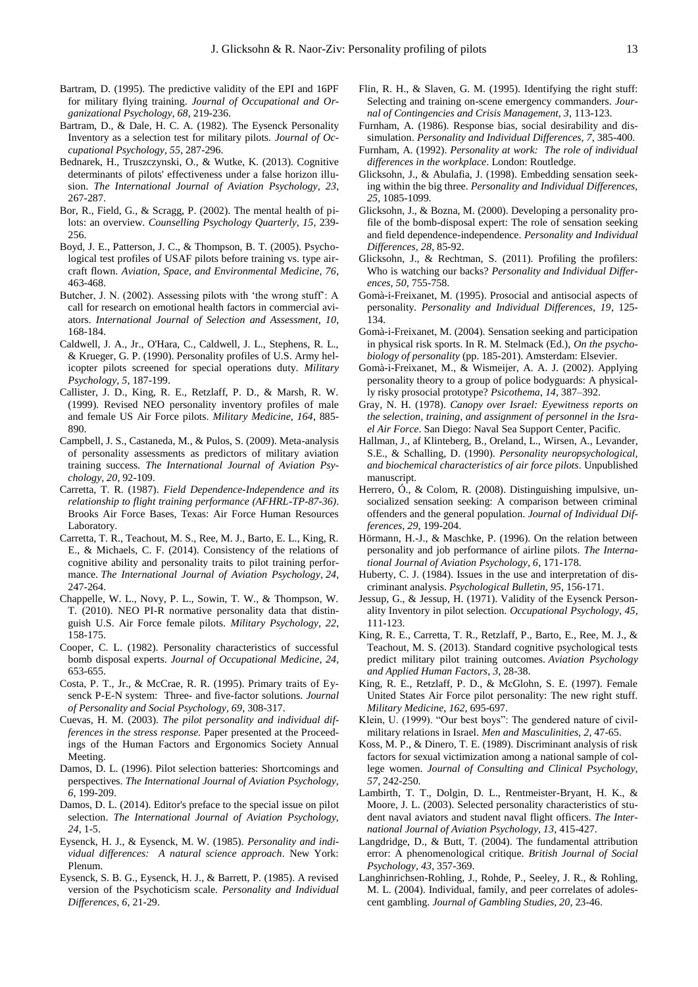- Bartram, D. (1995). The predictive validity of the EPI and 16PF for military flying training. *Journal of Occupational and Organizational Psychology, 68*, 219-236.
- Bartram, D., & Dale, H. C. A. (1982). The Eysenck Personality Inventory as a selection test for military pilots. *Journal of Occupational Psychology, 55*, 287-296.
- Bednarek, H., Truszczynski, O., & Wutke, K. (2013). Cognitive determinants of pilots' effectiveness under a false horizon illusion. *The International Journal of Aviation Psychology, 23*, 267-287.
- Bor, R., Field, G., & Scragg, P. (2002). The mental health of pilots: an overview. *Counselling Psychology Quarterly, 15*, 239- 256.
- Boyd, J. E., Patterson, J. C., & Thompson, B. T. (2005). Psychological test profiles of USAF pilots before training vs. type aircraft flown. *Aviation, Space, and Environmental Medicine, 76*, 463-468.
- Butcher, J. N. (2002). Assessing pilots with 'the wrong stuff': A call for research on emotional health factors in commercial aviators. *International Journal of Selection and Assessment, 10*, 168-184.
- Caldwell, J. A., Jr., O'Hara, C., Caldwell, J. L., Stephens, R. L., & Krueger, G. P. (1990). Personality profiles of U.S. Army helicopter pilots screened for special operations duty. *Military Psychology, 5*, 187-199.
- Callister, J. D., King, R. E., Retzlaff, P. D., & Marsh, R. W. (1999). Revised NEO personality inventory profiles of male and female US Air Force pilots. *Military Medicine, 164*, 885- 890.
- Campbell, J. S., Castaneda, M., & Pulos, S. (2009). Meta-analysis of personality assessments as predictors of military aviation training success. *The International Journal of Aviation Psychology, 20*, 92-109.
- Carretta, T. R. (1987). *Field Dependence-Independence and its relationship to flight training performance (AFHRL-TP-87-36)*. Brooks Air Force Bases, Texas: Air Force Human Resources Laboratory.
- Carretta, T. R., Teachout, M. S., Ree, M. J., Barto, E. L., King, R. E., & Michaels, C. F. (2014). Consistency of the relations of cognitive ability and personality traits to pilot training performance. *The International Journal of Aviation Psychology*, *24*, 247-264.
- Chappelle, W. L., Novy, P. L., Sowin, T. W., & Thompson, W. T. (2010). NEO PI-R normative personality data that distinguish U.S. Air Force female pilots. *Military Psychology, 22*, 158-175.
- Cooper, C. L. (1982). Personality characteristics of successful bomb disposal experts. *Journal of Occupational Medicine*, *24*, 653-655.
- Costa, P. T., Jr., & McCrae, R. R. (1995). Primary traits of Eysenck P-E-N system: Three- and five-factor solutions. *Journal of Personality and Social Psychology, 69*, 308-317.
- Cuevas, H. M. (2003). *The pilot personality and individual differences in the stress response.* Paper presented at the Proceedings of the Human Factors and Ergonomics Society Annual Meeting.
- Damos, D. L. (1996). Pilot selection batteries: Shortcomings and perspectives. *The International Journal of Aviation Psychology, 6*, 199-209.
- Damos, D. L. (2014). Editor's preface to the special issue on pilot selection. *The International Journal of Aviation Psychology, 24*, 1-5.
- Eysenck, H. J., & Eysenck, M. W. (1985). *Personality and individual differences: A natural science approach*. New York: Plenum.
- Eysenck, S. B. G., Eysenck, H. J., & Barrett, P. (1985). A revised version of the Psychoticism scale. *Personality and Individual Differences, 6*, 21-29.
- Flin, R. H., & Slaven, G. M. (1995). Identifying the right stuff: Selecting and training on-scene emergency commanders. *Journal of Contingencies and Crisis Management, 3*, 113-123.
- Furnham, A. (1986). Response bias, social desirability and dissimulation. *Personality and Individual Differences, 7*, 385-400.
- Furnham, A. (1992). *Personality at work: The role of individual differences in the workplace*. London: Routledge.
- Glicksohn, J., & Abulafia, J. (1998). Embedding sensation seeking within the big three. *Personality and Individual Differences, 25*, 1085-1099.
- Glicksohn, J., & Bozna, M. (2000). Developing a personality profile of the bomb-disposal expert: The role of sensation seeking and field dependence-independence. *Personality and Individual Differences, 28*, 85-92.
- Glicksohn, J., & Rechtman, S. (2011). Profiling the profilers: Who is watching our backs? *Personality and Individual Differences, 50*, 755-758.
- Gomà-i-Freixanet, M. (1995). Prosocial and antisocial aspects of personality. *Personality and Individual Differences, 19*, 125- 134.
- Gomà-i-Freixanet, M. (2004). Sensation seeking and participation in physical risk sports. In R. M. Stelmack (Ed.), *On the psychobiology of personality* (pp. 185-201). Amsterdam: Elsevier.
- Gomà-i-Freixanet, M., & Wismeijer, A. A. J. (2002). Applying personality theory to a group of police bodyguards: A physically risky prosocial prototype? *Psicothema*, *14*, 387–392.
- Gray, N. H. (1978). *Canopy over Israel: Eyewitness reports on the selection, training, and assignment of personnel in the Israel Air Force*. San Diego: Naval Sea Support Center, Pacific.
- Hallman, J., af Klinteberg, B., Oreland, L., Wirsen, A., Levander, S.E., & Schalling, D. (1990). *Personality neuropsychological, and biochemical characteristics of air force pilots*. Unpublished manuscript.
- Herrero, Ó., & Colom, R. (2008). Distinguishing impulsive, unsocialized sensation seeking: A comparison between criminal offenders and the general population. *Journal of Individual Differences, 29*, 199-204.
- Hörmann, H.-J., & Maschke, P. (1996). On the relation between personality and job performance of airline pilots. *The International Journal of Aviation Psychology, 6*, 171-178.
- Huberty, C. J. (1984). Issues in the use and interpretation of discriminant analysis. *Psychological Bulletin, 95*, 156-171.
- Jessup, G., & Jessup, H. (1971). Validity of the Eysenck Personality Inventory in pilot selection. *Occupational Psychology, 45*, 111-123.
- King, R. E., Carretta, T. R., Retzlaff, P., Barto, E., Ree, M. J., & Teachout, M. S. (2013). Standard cognitive psychological tests predict military pilot training outcomes. *Aviation Psychology and Applied Human Factors*, *3*, 28-38.
- King, R. E., Retzlaff, P. D., & McGlohn, S. E. (1997). Female United States Air Force pilot personality: The new right stuff. *Military Medicine*, *162*, 695-697.
- Klein, U. (1999). "Our best boys": The gendered nature of civilmilitary relations in Israel. *Men and Masculinities, 2*, 47-65.
- Koss, M. P., & Dinero, T. E. (1989). Discriminant analysis of risk factors for sexual victimization among a national sample of college women. *Journal of Consulting and Clinical Psychology, 57*, 242-250.
- Lambirth, T. T., Dolgin, D. L., Rentmeister-Bryant, H. K., & Moore, J. L. (2003). Selected personality characteristics of student naval aviators and student naval flight officers. *The International Journal of Aviation Psychology, 13*, 415-427.
- Langdridge, D., & Butt, T. (2004). The fundamental attribution error: A phenomenological critique. *British Journal of Social Psychology, 43*, 357-369.
- Langhinrichsen-Rohling, J., Rohde, P., Seeley, J. R., & Rohling, M. L. (2004). Individual, family, and peer correlates of adolescent gambling. *Journal of Gambling Studies, 20*, 23-46.